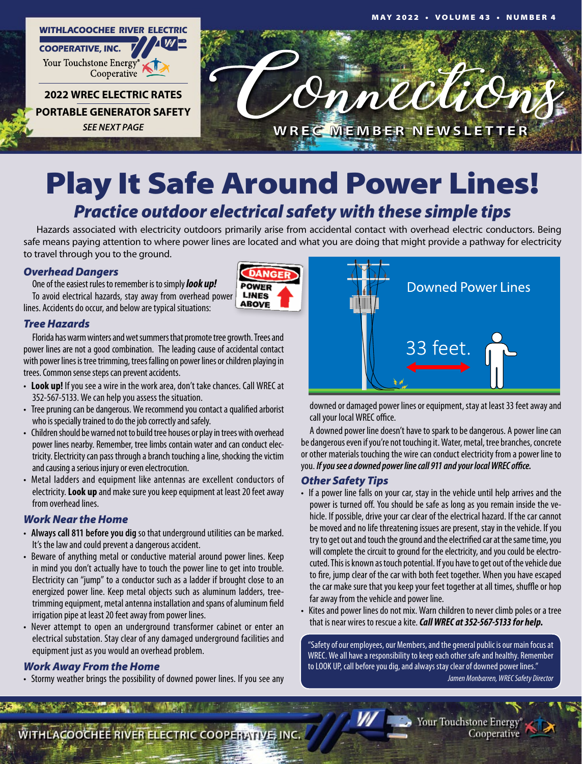

## Play It Safe Around Power Lines! *Practice outdoor electrical safety with these simple tips*

Hazards associated with electricity outdoors primarily arise from accidental contact with overhead electric conductors. Being safe means paying attention to where power lines are located and what you are doing that might provide a pathway for electricity to travel through you to the ground.

> **ANG POWER**

**LINES ABOVE** 

#### *Overhead Dangers*

One of the easiest rules to remember is to simply *look up!* To avoid electrical hazards, stay away from overhead power lines. Accidents do occur, and below are typical situations:

#### *Tree Hazards*

Florida has warm winters and wet summers that promote tree growth. Trees and power lines are not a good combination. The leading cause of accidental contact with power lines is tree trimming, trees falling on power lines or children playing in trees. Common sense steps can prevent accidents.

- Look up! If you see a wire in the work area, don't take chances. Call WREC at 352-567-5133. We can help you assess the situation.
- Tree pruning can be dangerous. We recommend you contact a qualified arborist who is specially trained to do the job correctly and safely.
- Children should be warned not to build tree houses or play in trees with overhead power lines nearby. Remember, tree limbs contain water and can conduct electricity. Electricity can pass through a branch touching a line, shocking the victim and causing a serious injury or even electrocution.
- Metal ladders and equipment like antennas are excellent conductors of electricity. **Look up** and make sure you keep equipment at least 20 feet away from overhead lines.

#### *Work Near the Home*

- • **Always call 811 before you dig** so that underground utilities can be marked. It's the law and could prevent a dangerous accident.
- Beware of anything metal or conductive material around power lines. Keep in mind you don't actually have to touch the power line to get into trouble. Electricity can "jump" to a conductor such as a ladder if brought close to an energized power line. Keep metal objects such as aluminum ladders, treetrimming equipment, metal antenna installation and spans of aluminum field irrigation pipe at least 20 feet away from power lines.
- Never attempt to open an underground transformer cabinet or enter an electrical substation. Stay clear of any damaged underground facilities and equipment just as you would an overhead problem.

#### *Work Away From the Home*

• Stormy weather brings the possibility of downed power lines. If you see any



downed or damaged power lines or equipment, stay at least 33 feet away and call your local WREC office.

A downed power line doesn't have to spark to be dangerous. A power line can be dangerous even if you're not touching it. Water, metal, tree branches, concrete or other materials touching the wire can conduct electricity from a power line to you. *If you see a downed power line call 911 and your local WREC office.*

#### *Other Safety Tips*

- If a power line falls on your car, stay in the vehicle until help arrives and the power is turned off. You should be safe as long as you remain inside the vehicle. If possible, drive your car clear of the electrical hazard. If the car cannot be moved and no life threatening issues are present, stay in the vehicle. If you try to get out and touch the ground and the electrified car at the same time, you will complete the circuit to ground for the electricity, and you could be electrocuted. This is known as touch potential. If you have to get out of the vehicle due to fire, jump clear of the car with both feet together. When you have escaped the car make sure that you keep your feet together at all times, shuffle or hop far away from the vehicle and power line.
- Kites and power lines do not mix. Warn children to never climb poles or a tree that is near wires to rescue a kite. *Call WREC at 352-567-5133 for help.*

"Safety of our employees, our Members, and the general public is our main focus at WREC. We all have a responsibility to keep each other safe and healthy. Remember to LOOK UP, call before you dig, and always stay clear of downed power lines." *Jamen Monbarren, WREC Safety Director*





WITHLACOOCHEE RIVER ELECTRIC COOPERTYFIVE, INC.